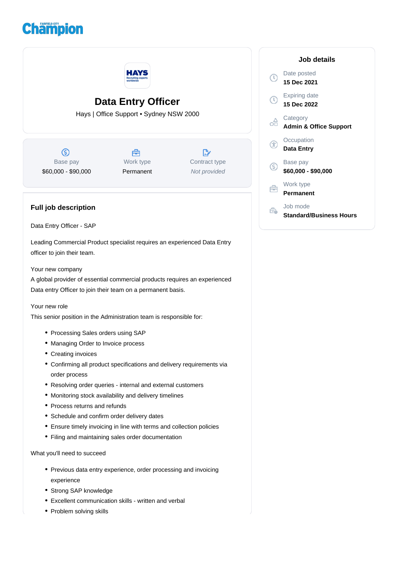# **Champion**



## **Data Entry Officer**

Hays | Office Support • Sydney NSW 2000

 $\circledS$ Base pay \$60,000 - \$90,000

合 Work type

Permanent

 $\mathbb{R}$ Contract type

Not provided

### **Full job description**

Data Entry Officer - SAP

Leading Commercial Product specialist requires an experienced Data Entry officer to join their team.

#### Your new company

A global provider of essential commercial products requires an experienced Data entry Officer to join their team on a permanent basis.

#### Your new role

This senior position in the Administration team is responsible for:

- Processing Sales orders using SAP
- Managing Order to Invoice process
- Creating invoices
- Confirming all product specifications and delivery requirements via order process
- Resolving order queries internal and external customers
- Monitoring stock availability and delivery timelines
- Process returns and refunds
- Schedule and confirm order delivery dates
- Ensure timely invoicing in line with terms and collection policies
- Filing and maintaining sales order documentation

What you'll need to succeed

- Previous data entry experience, order processing and invoicing experience
- Strong SAP knowledge
- Excellent communication skills written and verbal
- Problem solving skills

| Job details |                                               |
|-------------|-----------------------------------------------|
|             | Date posted<br>15 Dec 2021                    |
|             | <b>Expiring date</b><br>15 Dec 2022           |
|             | Category<br><b>Admin &amp; Office Support</b> |
|             | Occupation<br>Data Entry                      |
|             | Base pay<br>\$60,000 - \$90,000               |
|             | Work type<br>Permanent                        |
|             | Job mode<br><b>Standard/Business Hours</b>    |